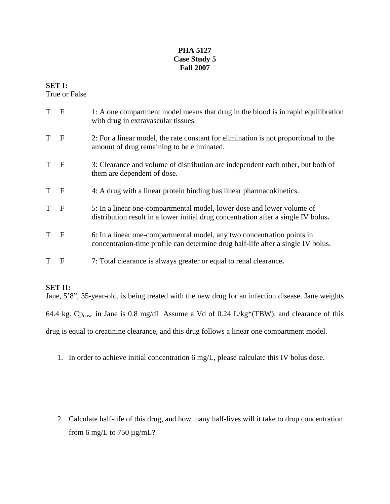## **PHA 5127 Case Study 5 Fall 2007**

## **SET I:**

True or False

| T F |              | 1: A one compartment model means that drug in the blood is in rapid equilibration<br>with drug in extravascular tissues.                                     |
|-----|--------------|--------------------------------------------------------------------------------------------------------------------------------------------------------------|
| T   | $\mathbf{F}$ | 2: For a linear model, the rate constant for elimination is not proportional to the<br>amount of drug remaining to be eliminated.                            |
| T   | $\mathbf F$  | 3: Clearance and volume of distribution are independent each other, but both of<br>them are dependent of dose.                                               |
| T   | $\mathbf{F}$ | 4: A drug with a linear protein binding has linear pharmacokinetics.                                                                                         |
| T   | $\mathbf F$  | 5: In a linear one-compartmental model, lower dose and lower volume of<br>distribution result in a lower initial drug concentration after a single IV bolus. |
| T   | $\mathbf{F}$ | 6: In a linear one-compartmental model, any two concentration points in<br>concentration-time profile can determine drug half-life after a single IV bolus.  |
| T   | F            | 7: Total clearance is always greater or equal to renal clearance.                                                                                            |

# **SET II:**

Jane, 5'8", 35-year-old, is being treated with the new drug for an infection disease. Jane weights

64.4 kg. Cp<sub>creat</sub> in Jane is 0.8 mg/dL Assume a Vd of 0.24 L/kg\*(TBW), and clearance of this

drug is equal to creatinine clearance, and this drug follows a linear one compartment model.

1. In order to achieve initial concentration 6 mg/L, please calculate this IV bolus dose.

2. Calculate half-life of this drug, and how many half-lives will it take to drop concentration from 6 mg/L to 750  $\mu$ g/mL?